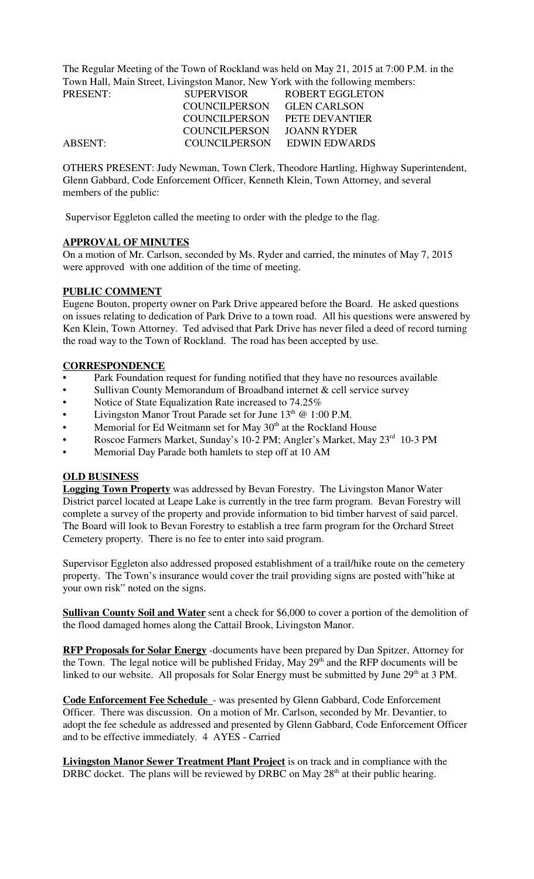The Regular Meeting of the Town of Rockland was held on May 21, 2015 at 7:00 P.M. in the Town Hall, Main Street, Livingston Manor, New York with the following members:

| <b>PRESENT:</b> | <b>SUPERVISOR</b>    | <b>ROBERT EGGLETON</b> |
|-----------------|----------------------|------------------------|
|                 | COUNCILPERSON        | <b>GLEN CARLSON</b>    |
|                 | <b>COUNCILPERSON</b> | PETE DEVANTIER         |
|                 | COUNCILPERSON        | JOANN RYDER            |
| ABSENT:         | COUNCIL PERSON       | EDWIN EDWARDS          |

OTHERS PRESENT: Judy Newman, Town Clerk, Theodore Hartling, Highway Superintendent, Glenn Gabbard, Code Enforcement Officer, Kenneth Klein, Town Attorney, and several members of the public:

Supervisor Eggleton called the meeting to order with the pledge to the flag.

# **APPROVAL OF MINUTES**

On a motion of Mr. Carlson, seconded by Ms. Ryder and carried, the minutes of May 7, 2015 were approved with one addition of the time of meeting.

# **PUBLIC COMMENT**

Eugene Bouton, property owner on Park Drive appeared before the Board. He asked questions on issues relating to dedication of Park Drive to a town road. All his questions were answered by Ken Klein, Town Attorney. Ted advised that Park Drive has never filed a deed of record turning the road way to the Town of Rockland. The road has been accepted by use.

# **CORRESPONDENCE**

- Park Foundation request for funding notified that they have no resources available
- Sullivan County Memorandum of Broadband internet & cell service survey
- Notice of State Equalization Rate increased to 74.25%
- Livingston Manor Trout Parade set for June  $13<sup>th</sup>$  @ 1:00 P.M.
- Memorial for Ed Weitmann set for May 30<sup>th</sup> at the Rockland House
- Roscoe Farmers Market, Sunday's 10-2 PM; Angler's Market, May 23<sup>rd</sup> 10-3 PM
- Memorial Day Parade both hamlets to step off at 10 AM

# **OLD BUSINESS**

**Logging Town Property** was addressed by Bevan Forestry. The Livingston Manor Water District parcel located at Leape Lake is currently in the tree farm program. Bevan Forestry will complete a survey of the property and provide information to bid timber harvest of said parcel. The Board will look to Bevan Forestry to establish a tree farm program for the Orchard Street Cemetery property. There is no fee to enter into said program.

Supervisor Eggleton also addressed proposed establishment of a trail/hike route on the cemetery property. The Town's insurance would cover the trail providing signs are posted with"hike at your own risk" noted on the signs.

**Sullivan County Soil and Water** sent a check for \$6,000 to cover a portion of the demolition of the flood damaged homes along the Cattail Brook, Livingston Manor.

**RFP Proposals for Solar Energy** -documents have been prepared by Dan Spitzer, Attorney for the Town. The legal notice will be published Friday, May  $29<sup>th</sup>$  and the RFP documents will be linked to our website. All proposals for Solar Energy must be submitted by June 29<sup>th</sup> at 3 PM.

**Code Enforcement Fee Schedule** - was presented by Glenn Gabbard, Code Enforcement Officer. There was discussion. On a motion of Mr. Carlson, seconded by Mr. Devantier, to adopt the fee schedule as addressed and presented by Glenn Gabbard, Code Enforcement Officer and to be effective immediately. 4 AYES - Carried

**Livingston Manor Sewer Treatment Plant Project** is on track and in compliance with the DRBC docket. The plans will be reviewed by DRBC on May  $28<sup>th</sup>$  at their public hearing.